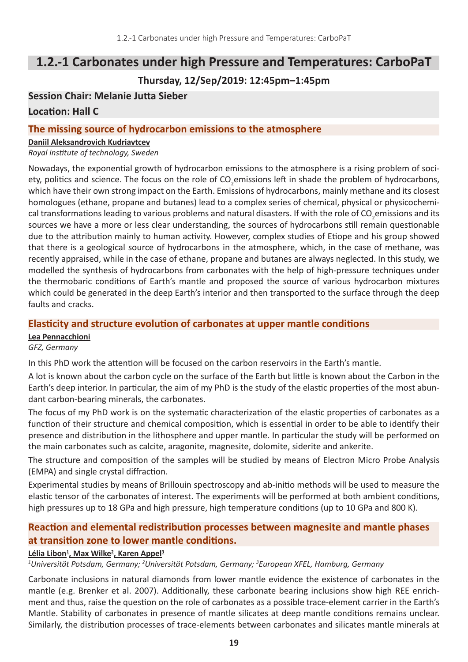## **1.2.-1 Carbonates under high Pressure and Temperatures: CarboPaT**

## **Thursday, 12/Sep/2019: 12:45pm–1:45pm**

## **Session Chair: Melanie Jutta Sieber**

#### **Location: Hall C**

#### **The missing source of hydrocarbon emissions to the atmosphere**

#### **Daniil Aleksandrovich Kudriavtcev**

*Royal institute of technology, Sweden*

Nowadays, the exponential growth of hydrocarbon emissions to the atmosphere is a rising problem of society, politics and science. The focus on the role of CO<sub>2</sub>emissions left in shade the problem of hydrocarbons, which have their own strong impact on the Earth. Emissions of hydrocarbons, mainly methane and its closest homologues (ethane, propane and butanes) lead to a complex series of chemical, physical or physicochemical transformations leading to various problems and natural disasters. If with the role of CO<sub>2</sub>emissions and its sources we have a more or less clear understanding, the sources of hydrocarbons still remain questionable due to the attribution mainly to human activity. However, complex studies of Etiope and his group showed that there is a geological source of hydrocarbons in the atmosphere, which, in the case of methane, was recently appraised, while in the case of ethane, propane and butanes are always neglected. In this study, we modelled the synthesis of hydrocarbons from carbonates with the help of high-pressure techniques under the thermobaric conditions of Earth's mantle and proposed the source of various hydrocarbon mixtures which could be generated in the deep Earth's interior and then transported to the surface through the deep faults and cracks.

### **Elasticity and structure evolution of carbonates at upper mantle conditions**

#### **Lea Pennacchioni**

*GFZ, Germany*

In this PhD work the attention will be focused on the carbon reservoirs in the Earth's mantle.

A lot is known about the carbon cycle on the surface of the Earth but little is known about the Carbon in the Earth's deep interior. In particular, the aim of my PhD is the study of the elastic properties of the most abundant carbon-bearing minerals, the carbonates.

The focus of my PhD work is on the systematic characterization of the elastic properties of carbonates as a function of their structure and chemical composition, which is essential in order to be able to identify their presence and distribution in the lithosphere and upper mantle. In particular the study will be performed on the main carbonates such as calcite, aragonite, magnesite, dolomite, siderite and ankerite.

The structure and composition of the samples will be studied by means of Electron Micro Probe Analysis (EMPA) and single crystal diffraction.

Experimental studies by means of Brillouin spectroscopy and ab-initio methods will be used to measure the elastic tensor of the carbonates of interest. The experiments will be performed at both ambient conditions, high pressures up to 18 GPa and high pressure, high temperature conditions (up to 10 GPa and 800 K).

## **Reaction and elemental redistribution processes between magnesite and mantle phases at transition zone to lower mantle conditions.**

#### **Lélia Libon1 , Max Wilke<sup>2</sup> , Karen Appel<sup>3</sup>**

<sup>1</sup>Universität Potsdam, Germany; <sup>2</sup>Universität Potsdam, Germany; <sup>3</sup>European XFEL, Hamburg, Germany

Carbonate inclusions in natural diamonds from lower mantle evidence the existence of carbonates in the mantle (e.g. Brenker et al. 2007). Additionally, these carbonate bearing inclusions show high REE enrichment and thus, raise the question on the role of carbonates as a possible trace-element carrier in the Earth's Mantle. Stability of carbonates in presence of mantle silicates at deep mantle conditions remains unclear. Similarly, the distribution processes of trace-elements between carbonates and silicates mantle minerals at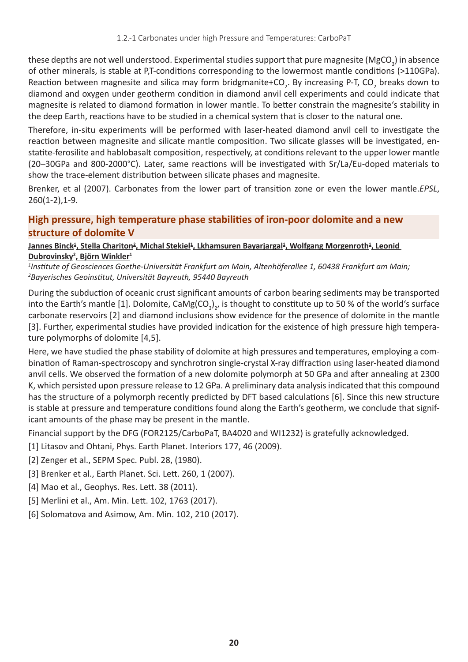these depths are not well understood. Experimental studies support that pure magnesite (MgCO<sub>3</sub>) in absence of other minerals, is stable at P,T-conditions corresponding to the lowermost mantle conditions (>110GPa). Reaction between magnesite and silica may form bridgmanite+CO<sub>2</sub>. By increasing P-T, CO<sub>2</sub> breaks down to diamond and oxygen under geotherm condition in diamond anvil cell experiments and could indicate that magnesite is related to diamond formation in lower mantle. To better constrain the magnesite's stability in the deep Earth, reactions have to be studied in a chemical system that is closer to the natural one.

Therefore, in-situ experiments will be performed with laser-heated diamond anvil cell to investigate the reaction between magnesite and silicate mantle composition. Two silicate glasses will be investigated, enstatite-ferosilite and hablobasalt composition, respectively, at conditions relevant to the upper lower mantle (20–30GPa and 800-2000°C). Later, same reactions will be investigated with Sr/La/Eu-doped materials to show the trace-element distribution between silicate phases and magnesite.

Brenker, et al (2007). Carbonates from the lower part of transition zone or even the lower mantle.*EPSL*, 260(1-2),1-9.

## **High pressure, high temperature phase stabilities of iron-poor dolomite and a new structure of dolomite V**

**Lannes Binck<sup>1</sup>, Stella Chariton<sup>2</sup>, Michal Stekiel<sup>1</sup>, Lkhamsuren Bayarjargal<sup>1</sup>, Wolfgang Morgenroth<sup>1</sup>, Leonid Dubrovinsky<sup>2</sup> , Björn Winkler<sup>1</sup>**

*1 Institute of Geosciences Goethe-Universität Frankfurt am Main, Altenhöferallee 1, 60438 Frankfurt am Main; 2 Bayerisches Geoinstitut, Universität Bayreuth, 95440 Bayreuth*

During the subduction of oceanic crust significant amounts of carbon bearing sediments may be transported into the Earth's mantle [1]. Dolomite, CaMg(CO<sub>3</sub>)<sub>2</sub>, is thought to constitute up to 50 % of the world's surface carbonate reservoirs [2] and diamond inclusions show evidence for the presence of dolomite in the mantle [3]. Further, experimental studies have provided indication for the existence of high pressure high temperature polymorphs of dolomite [4,5].

Here, we have studied the phase stability of dolomite at high pressures and temperatures, employing a combination of Raman-spectroscopy and synchrotron single-crystal X-ray diffraction using laser-heated diamond anvil cells. We observed the formation of a new dolomite polymorph at 50 GPa and after annealing at 2300 K, which persisted upon pressure release to 12 GPa. A preliminary data analysis indicated that this compound has the structure of a polymorph recently predicted by DFT based calculations [6]. Since this new structure is stable at pressure and temperature conditions found along the Earth's geotherm, we conclude that significant amounts of the phase may be present in the mantle.

Financial support by the DFG (FOR2125/CarboPaT, BA4020 and WI1232) is gratefully acknowledged.

[1] Litasov and Ohtani, Phys. Earth Planet. Interiors 177, 46 (2009).

- [2] Zenger et al., SEPM Spec. Publ. 28, (1980).
- [3] Brenker et al., Earth Planet. Sci. Lett. 260, 1 (2007).
- [4] Mao et al., Geophys. Res. Lett. 38 (2011).
- [5] Merlini et al., Am. Min. Lett. 102, 1763 (2017).
- [6] Solomatova and Asimow, Am. Min. 102, 210 (2017).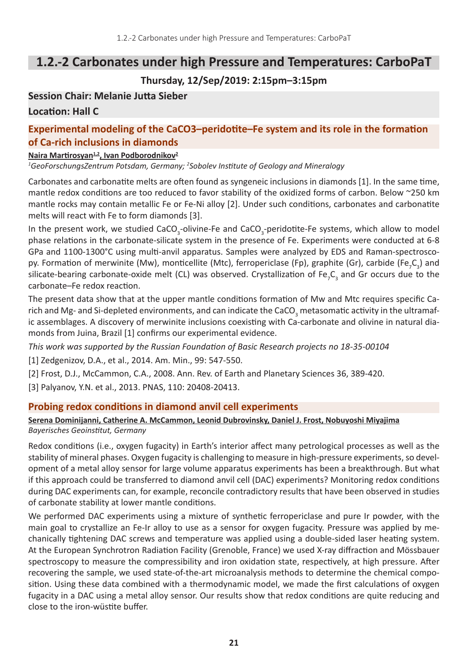# **1.2.-2 Carbonates under high Pressure and Temperatures: CarboPaT**

## **Thursday, 12/Sep/2019: 2:15pm–3:15pm**

### **Session Chair: Melanie Jutta Sieber**

## **Location: Hall C**

## **Experimental modeling of the CaCO3–peridotite–Fe system and its role in the formation of Ca-rich inclusions in diamonds**

#### **Naira Martirosyan1,2, Ivan Podborodnikov<sup>2</sup>**

*1 GeoForschungsZentrum Potsdam, Germany; <sup>2</sup> Sobolev Institute of Geology and Mineralogy*

Carbonates and carbonatite melts are often found as syngeneic inclusions in diamonds [1]. In the same time, mantle redox conditions are too reduced to favor stability of the oxidized forms of carbon. Below ~250 km mantle rocks may contain metallic Fe or Fe-Ni alloy [2]. Under such conditions, carbonates and carbonatite melts will react with Fe to form diamonds [3].

In the present work, we studied CaCO<sub>3</sub>-olivine-Fe and CaCO<sub>3</sub>-peridotite-Fe systems, which allow to model phase relations in the carbonate-silicate system in the presence of Fe. Experiments were conducted at 6-8 GPa and 1100-1300°C using multi-anvil apparatus. Samples were analyzed by EDS and Raman-spectroscopy. Formation of merwinite (Mw), monticellite (Mtc), ferropericlase (Fp), graphite (Gr), carbide (Fe<sub>7</sub>C<sub>3</sub>) and silicate-bearing carbonate-oxide melt (CL) was observed. Crystallization of Fe<sub>7</sub>C<sub>3</sub> and Gr occurs due to the carbonate–Fe redox reaction.

The present data show that at the upper mantle conditions formation of Mw and Mtc requires specific Carich and Mg- and Si-depleted environments, and can indicate the CaCO<sub>3</sub> metasomatic activity in the ultramafic assemblages. A discovery of merwinite inclusions coexisting with Ca-carbonate and olivine in natural diamonds from Juina, Brazil [1] confirms our experimental evidence.

*This work was supported by the Russian Foundation of Basic Research projects no 18-35-00104*

[1] Zedgenizov, D.A., et al., 2014. Am. Min., 99: 547-550.

[2] Frost, D.J., McCammon, C.A., 2008. Ann. Rev. of Earth and Planetary Sciences 36, 389-420.

[3] Palyanov, Y.N. et al., 2013. PNAS, 110: 20408-20413.

#### **Probing redox conditions in diamond anvil cell experiments**

#### **Serena Dominijanni, Catherine A. McCammon, Leonid Dubrovinsky, Daniel J. Frost, Nobuyoshi Miyajima** *Bayerisches Geoinstitut, Germany*

Redox conditions (i.e., oxygen fugacity) in Earth's interior affect many petrological processes as well as the stability of mineral phases. Oxygen fugacity is challenging to measure in high-pressure experiments, so development of a metal alloy sensor for large volume apparatus experiments has been a breakthrough. But what if this approach could be transferred to diamond anvil cell (DAC) experiments? Monitoring redox conditions during DAC experiments can, for example, reconcile contradictory results that have been observed in studies of carbonate stability at lower mantle conditions.

We performed DAC experiments using a mixture of synthetic ferropericlase and pure Ir powder, with the main goal to crystallize an Fe-Ir alloy to use as a sensor for oxygen fugacity. Pressure was applied by mechanically tightening DAC screws and temperature was applied using a double-sided laser heating system. At the European Synchrotron Radiation Facility (Grenoble, France) we used X-ray diffraction and Mössbauer spectroscopy to measure the compressibility and iron oxidation state, respectively, at high pressure. After recovering the sample, we used state-of-the-art microanalysis methods to determine the chemical composition. Using these data combined with a thermodynamic model, we made the first calculations of oxygen fugacity in a DAC using a metal alloy sensor. Our results show that redox conditions are quite reducing and close to the iron-wüstite buffer.